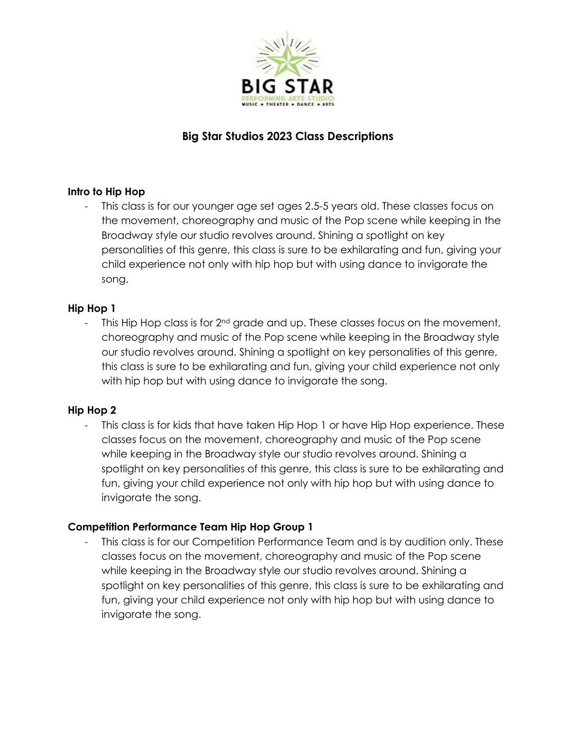

# **Big Star Studios 2023 Class Descriptions**

# **Intro to Hip Hop**

This class is for our younger age set ages 2.5-5 years old. These classes focus on the movement, choreography and music of the Pop scene while keeping in the Broadway style our studio revolves around. Shining a spotlight on key personalities of this genre, this class is sure to be exhilarating and fun, giving your child experience not only with hip hop but with using dance to invigorate the song.

# **Hip Hop 1**

- This Hip Hop class is for  $2<sup>nd</sup>$  grade and up. These classes focus on the movement, choreography and music of the Pop scene while keeping in the Broadway style our studio revolves around. Shining a spotlight on key personalities of this genre, this class is sure to be exhilarating and fun, giving your child experience not only with hip hop but with using dance to invigorate the song.

### **Hip Hop 2**

This class is for kids that have taken Hip Hop 1 or have Hip Hop experience. These classes focus on the movement, choreography and music of the Pop scene while keeping in the Broadway style our studio revolves around. Shining a spotlight on key personalities of this genre, this class is sure to be exhilarating and fun, giving your child experience not only with hip hop but with using dance to invigorate the song.

### **Competition Performance Team Hip Hop Group 1**

This class is for our Competition Performance Team and is by audition only. These classes focus on the movement, choreography and music of the Pop scene while keeping in the Broadway style our studio revolves around. Shining a spotlight on key personalities of this genre, this class is sure to be exhilarating and fun, giving your child experience not only with hip hop but with using dance to invigorate the song.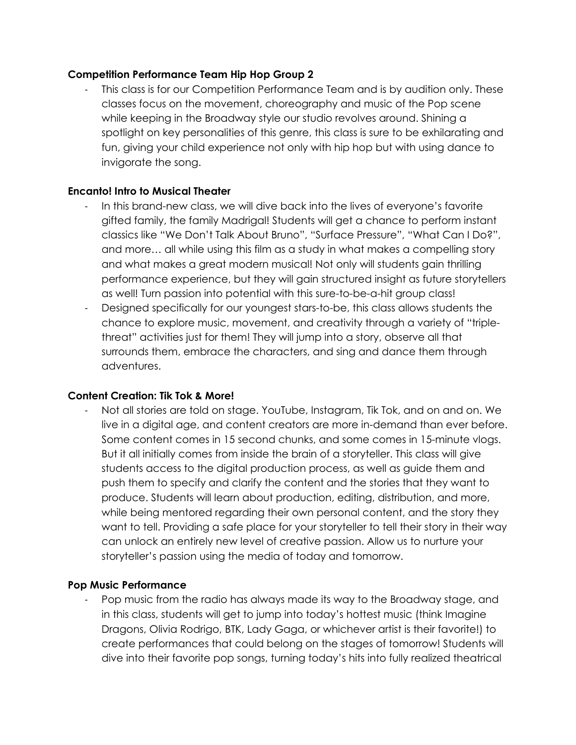### **Competition Performance Team Hip Hop Group 2**

This class is for our Competition Performance Team and is by audition only. These classes focus on the movement, choreography and music of the Pop scene while keeping in the Broadway style our studio revolves around. Shining a spotlight on key personalities of this genre, this class is sure to be exhilarating and fun, giving your child experience not only with hip hop but with using dance to invigorate the song.

#### **Encanto! Intro to Musical Theater**

- In this brand-new class, we will dive back into the lives of everyone's favorite gifted family, the family Madrigal! Students will get a chance to perform instant classics like "We Don't Talk About Bruno", "Surface Pressure", "What Can I Do?", and more… all while using this film as a study in what makes a compelling story and what makes a great modern musical! Not only will students gain thrilling performance experience, but they will gain structured insight as future storytellers as well! Turn passion into potential with this sure-to-be-a-hit group class!
- Designed specifically for our youngest stars-to-be, this class allows students the chance to explore music, movement, and creativity through a variety of "triplethreat" activities just for them! They will jump into a story, observe all that surrounds them, embrace the characters, and sing and dance them through adventures.

#### **Content Creation: Tik Tok & More!**

- Not all stories are told on stage. YouTube, Instagram, Tik Tok, and on and on. We live in a digital age, and content creators are more in-demand than ever before. Some content comes in 15 second chunks, and some comes in 15-minute vlogs. But it all initially comes from inside the brain of a storyteller. This class will give students access to the digital production process, as well as guide them and push them to specify and clarify the content and the stories that they want to produce. Students will learn about production, editing, distribution, and more, while being mentored regarding their own personal content, and the story they want to tell. Providing a safe place for your storyteller to tell their story in their way can unlock an entirely new level of creative passion. Allow us to nurture your storyteller's passion using the media of today and tomorrow.

#### **Pop Music Performance**

Pop music from the radio has always made its way to the Broadway stage, and in this class, students will get to jump into today's hottest music (think Imagine Dragons, Olivia Rodrigo, BTK, Lady Gaga, or whichever artist is their favorite!) to create performances that could belong on the stages of tomorrow! Students will dive into their favorite pop songs, turning today's hits into fully realized theatrical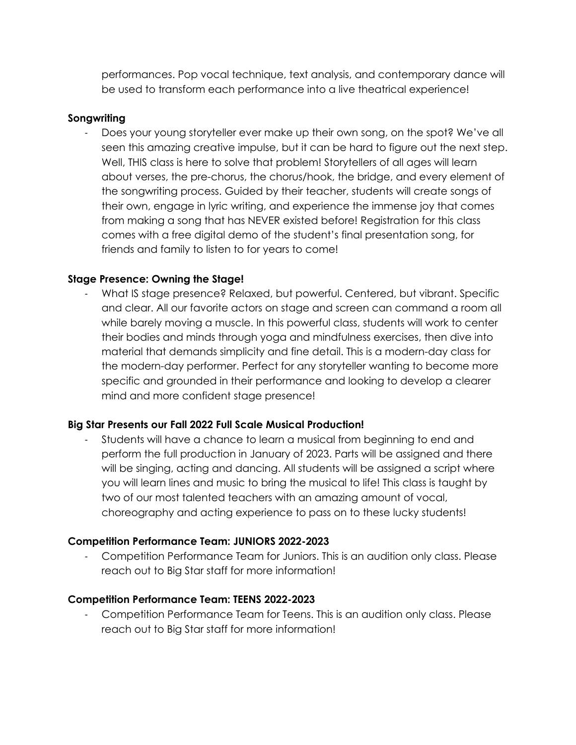performances. Pop vocal technique, text analysis, and contemporary dance will be used to transform each performance into a live theatrical experience!

### **Songwriting**

Does your young storyteller ever make up their own song, on the spot? We've all seen this amazing creative impulse, but it can be hard to figure out the next step. Well, THIS class is here to solve that problem! Storytellers of all ages will learn about verses, the pre-chorus, the chorus/hook, the bridge, and every element of the songwriting process. Guided by their teacher, students will create songs of their own, engage in lyric writing, and experience the immense joy that comes from making a song that has NEVER existed before! Registration for this class comes with a free digital demo of the student's final presentation song, for friends and family to listen to for years to come!

# **Stage Presence: Owning the Stage!**

- What IS stage presence? Relaxed, but powerful. Centered, but vibrant. Specific and clear. All our favorite actors on stage and screen can command a room all while barely moving a muscle. In this powerful class, students will work to center their bodies and minds through yoga and mindfulness exercises, then dive into material that demands simplicity and fine detail. This is a modern-day class for the modern-day performer. Perfect for any storyteller wanting to become more specific and grounded in their performance and looking to develop a clearer mind and more confident stage presence!

# **Big Star Presents our Fall 2022 Full Scale Musical Production!**

Students will have a chance to learn a musical from beginning to end and perform the full production in January of 2023. Parts will be assigned and there will be singing, acting and dancing. All students will be assigned a script where you will learn lines and music to bring the musical to life! This class is taught by two of our most talented teachers with an amazing amount of vocal, choreography and acting experience to pass on to these lucky students!

### **Competition Performance Team: JUNIORS 2022-2023**

- Competition Performance Team for Juniors. This is an audition only class. Please reach out to Big Star staff for more information!

### **Competition Performance Team: TEENS 2022-2023**

- Competition Performance Team for Teens. This is an audition only class. Please reach out to Big Star staff for more information!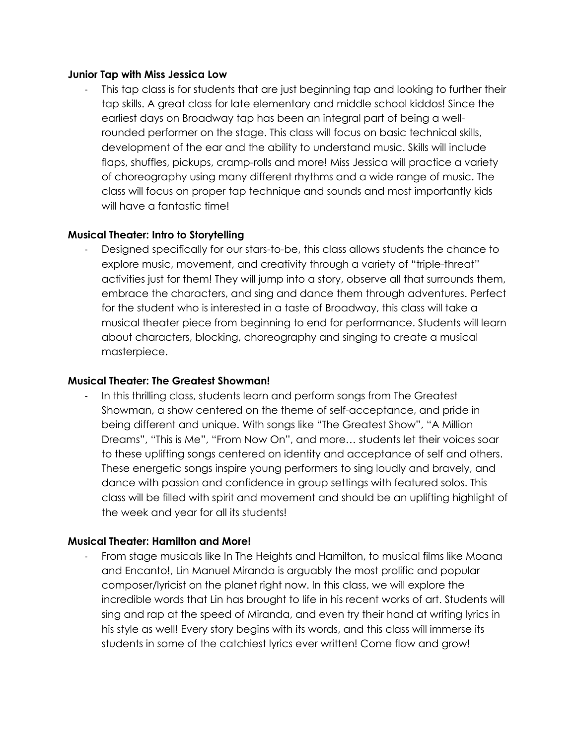#### **Junior Tap with Miss Jessica Low**

This tap class is for students that are just beginning tap and looking to further their tap skills. A great class for late elementary and middle school kiddos! Since the earliest days on Broadway tap has been an integral part of being a wellrounded performer on the stage. This class will focus on basic technical skills, development of the ear and the ability to understand music. Skills will include flaps, shuffles, pickups, cramp-rolls and more! Miss Jessica will practice a variety of choreography using many different rhythms and a wide range of music. The class will focus on proper tap technique and sounds and most importantly kids will have a fantastic time!

#### **Musical Theater: Intro to Storytelling**

Designed specifically for our stars-to-be, this class allows students the chance to explore music, movement, and creativity through a variety of "triple-threat" activities just for them! They will jump into a story, observe all that surrounds them, embrace the characters, and sing and dance them through adventures. Perfect for the student who is interested in a taste of Broadway, this class will take a musical theater piece from beginning to end for performance. Students will learn about characters, blocking, choreography and singing to create a musical masterpiece.

#### **Musical Theater: The Greatest Showman!**

In this thrilling class, students learn and perform songs from The Greatest Showman, a show centered on the theme of self-acceptance, and pride in being different and unique. With songs like "The Greatest Show", "A Million Dreams", "This is Me", "From Now On", and more… students let their voices soar to these uplifting songs centered on identity and acceptance of self and others. These energetic songs inspire young performers to sing loudly and bravely, and dance with passion and confidence in group settings with featured solos. This class will be filled with spirit and movement and should be an uplifting highlight of the week and year for all its students!

#### **Musical Theater: Hamilton and More!**

- From stage musicals like In The Heights and Hamilton, to musical films like Moana and Encanto!, Lin Manuel Miranda is arguably the most prolific and popular composer/lyricist on the planet right now. In this class, we will explore the incredible words that Lin has brought to life in his recent works of art. Students will sing and rap at the speed of Miranda, and even try their hand at writing lyrics in his style as well! Every story begins with its words, and this class will immerse its students in some of the catchiest lyrics ever written! Come flow and grow!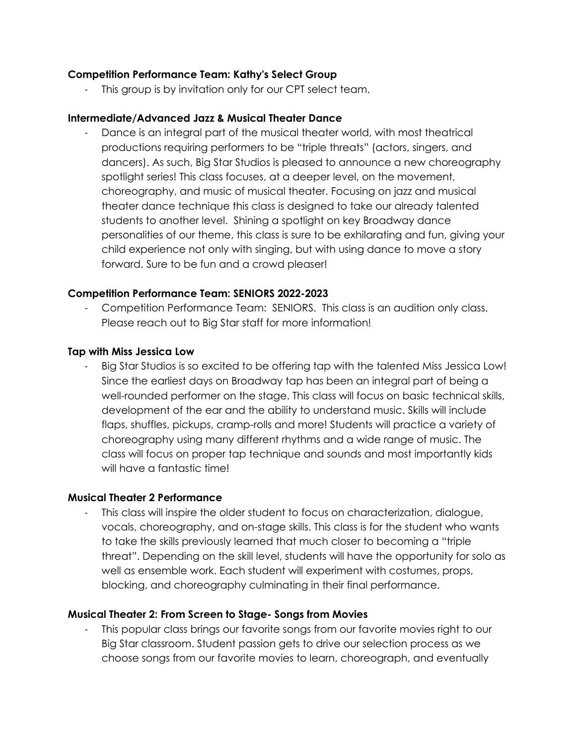### **Competition Performance Team: Kathy's Select Group**

- This group is by invitation only for our CPT select team.

### **Intermediate/Advanced Jazz & Musical Theater Dance**

Dance is an integral part of the musical theater world, with most theatrical productions requiring performers to be "triple threats" (actors, singers, and dancers). As such, Big Star Studios is pleased to announce a new choreography spotlight series! This class focuses, at a deeper level, on the movement, choreography, and music of musical theater. Focusing on jazz and musical theater dance technique this class is designed to take our already talented students to another level. Shining a spotlight on key Broadway dance personalities of our theme, this class is sure to be exhilarating and fun, giving your child experience not only with singing, but with using dance to move a story forward. Sure to be fun and a crowd pleaser!

### **Competition Performance Team: SENIORS 2022-2023**

- Competition Performance Team: SENIORS. This class is an audition only class. Please reach out to Big Star staff for more information!

### **Tap with Miss Jessica Low**

Big Star Studios is so excited to be offering tap with the talented Miss Jessica Low! Since the earliest days on Broadway tap has been an integral part of being a well-rounded performer on the stage. This class will focus on basic technical skills, development of the ear and the ability to understand music. Skills will include flaps, shuffles, pickups, cramp-rolls and more! Students will practice a variety of choreography using many different rhythms and a wide range of music. The class will focus on proper tap technique and sounds and most importantly kids will have a fantastic time!

### **Musical Theater 2 Performance**

This class will inspire the older student to focus on characterization, dialogue, vocals, choreography, and on-stage skills. This class is for the student who wants to take the skills previously learned that much closer to becoming a "triple threat". Depending on the skill level, students will have the opportunity for solo as well as ensemble work. Each student will experiment with costumes, props, blocking, and choreography culminating in their final performance.

### **Musical Theater 2: From Screen to Stage- Songs from Movies**

This popular class brings our favorite songs from our favorite movies right to our Big Star classroom. Student passion gets to drive our selection process as we choose songs from our favorite movies to learn, choreograph, and eventually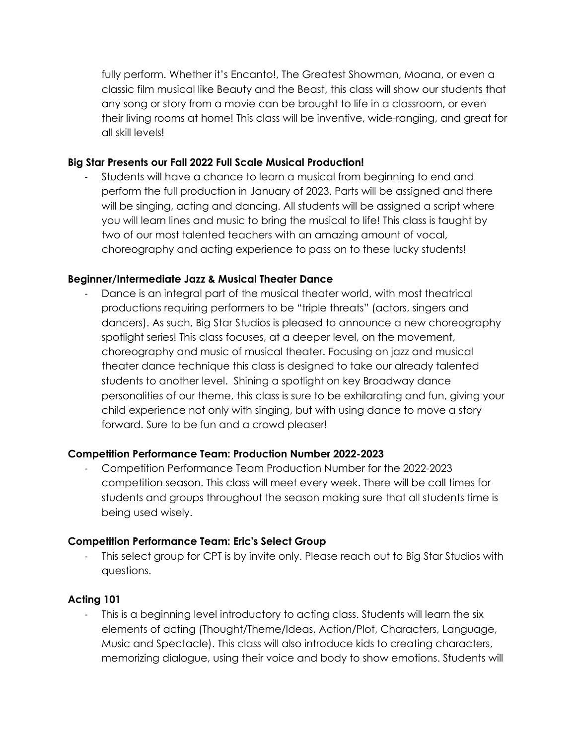fully perform. Whether it's Encanto!, The Greatest Showman, Moana, or even a classic film musical like Beauty and the Beast, this class will show our students that any song or story from a movie can be brought to life in a classroom, or even their living rooms at home! This class will be inventive, wide-ranging, and great for all skill levels!

# **Big Star Presents our Fall 2022 Full Scale Musical Production!**

- Students will have a chance to learn a musical from beginning to end and perform the full production in January of 2023. Parts will be assigned and there will be singing, acting and dancing. All students will be assigned a script where you will learn lines and music to bring the musical to life! This class is taught by two of our most talented teachers with an amazing amount of vocal, choreography and acting experience to pass on to these lucky students!

# **Beginner/Intermediate Jazz & Musical Theater Dance**

Dance is an integral part of the musical theater world, with most theatrical productions requiring performers to be "triple threats" (actors, singers and dancers). As such, Big Star Studios is pleased to announce a new choreography spotlight series! This class focuses, at a deeper level, on the movement, choreography and music of musical theater. Focusing on jazz and musical theater dance technique this class is designed to take our already talented students to another level. Shining a spotlight on key Broadway dance personalities of our theme, this class is sure to be exhilarating and fun, giving your child experience not only with singing, but with using dance to move a story forward. Sure to be fun and a crowd pleaser!

### **Competition Performance Team: Production Number 2022-2023**

- Competition Performance Team Production Number for the 2022-2023 competition season. This class will meet every week. There will be call times for students and groups throughout the season making sure that all students time is being used wisely.

### **Competition Performance Team: Eric's Select Group**

- This select group for CPT is by invite only. Please reach out to Big Star Studios with questions.

# **Acting 101**

This is a beginning level introductory to acting class. Students will learn the six elements of acting (Thought/Theme/Ideas, Action/Plot, Characters, Language, Music and Spectacle). This class will also introduce kids to creating characters, memorizing dialogue, using their voice and body to show emotions. Students will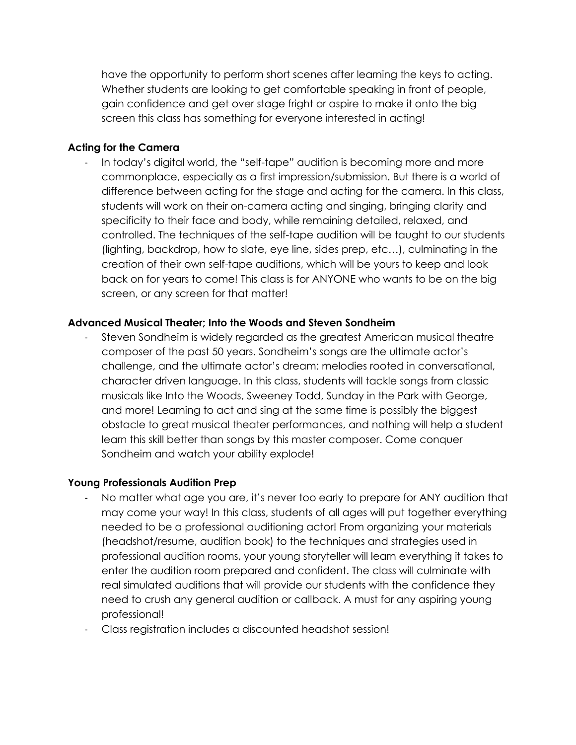have the opportunity to perform short scenes after learning the keys to acting. Whether students are looking to get comfortable speaking in front of people, gain confidence and get over stage fright or aspire to make it onto the big screen this class has something for everyone interested in acting!

#### **Acting for the Camera**

- In today's digital world, the "self-tape" audition is becoming more and more commonplace, especially as a first impression/submission. But there is a world of difference between acting for the stage and acting for the camera. In this class, students will work on their on-camera acting and singing, bringing clarity and specificity to their face and body, while remaining detailed, relaxed, and controlled. The techniques of the self-tape audition will be taught to our students (lighting, backdrop, how to slate, eye line, sides prep, etc…), culminating in the creation of their own self-tape auditions, which will be yours to keep and look back on for years to come! This class is for ANYONE who wants to be on the big screen, or any screen for that matter!

#### **Advanced Musical Theater; Into the Woods and Steven Sondheim**

- Steven Sondheim is widely regarded as the greatest American musical theatre composer of the past 50 years. Sondheim's songs are the ultimate actor's challenge, and the ultimate actor's dream: melodies rooted in conversational, character driven language. In this class, students will tackle songs from classic musicals like Into the Woods, Sweeney Todd, Sunday in the Park with George, and more! Learning to act and sing at the same time is possibly the biggest obstacle to great musical theater performances, and nothing will help a student learn this skill better than songs by this master composer. Come conquer Sondheim and watch your ability explode!

#### **Young Professionals Audition Prep**

- No matter what age you are, it's never too early to prepare for ANY audition that may come your way! In this class, students of all ages will put together everything needed to be a professional auditioning actor! From organizing your materials (headshot/resume, audition book) to the techniques and strategies used in professional audition rooms, your young storyteller will learn everything it takes to enter the audition room prepared and confident. The class will culminate with real simulated auditions that will provide our students with the confidence they need to crush any general audition or callback. A must for any aspiring young professional!
- Class registration includes a discounted headshot session!